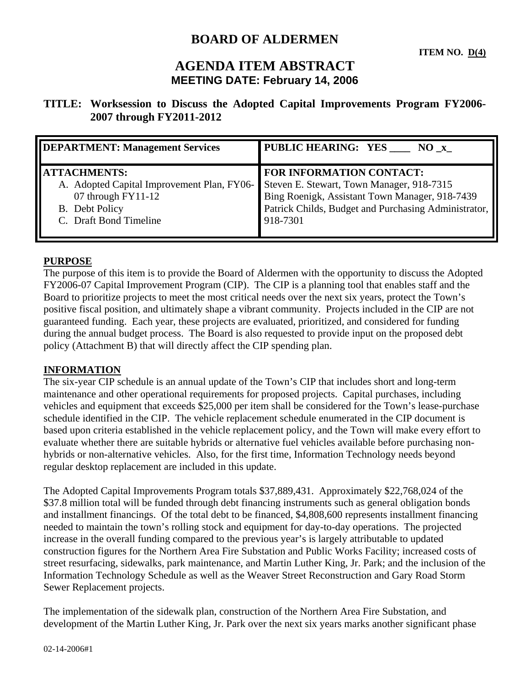# **BOARD OF ALDERMEN**

## **AGENDA ITEM ABSTRACT MEETING DATE: February 14, 2006**

### **TITLE: Worksession to Discuss the Adopted Capital Improvements Program FY2006- 2007 through FY2011-2012**

| <b>DEPARTMENT: Management Services</b>     | PUBLIC HEARING: YES ____ NO_x                                                               |
|--------------------------------------------|---------------------------------------------------------------------------------------------|
| <b>ATTACHMENTS:</b>                        | <b>FOR INFORMATION CONTACT:</b>                                                             |
| A. Adopted Capital Improvement Plan, FY06- |                                                                                             |
| 07 through FY11-12                         | Steven E. Stewart, Town Manager, 918-7315<br>Bing Roenigk, Assistant Town Manager, 918-7439 |
| B. Debt Policy                             | Patrick Childs, Budget and Purchasing Administrator,                                        |
| C. Draft Bond Timeline                     | 918-7301                                                                                    |
|                                            |                                                                                             |

#### **PURPOSE**

The purpose of this item is to provide the Board of Aldermen with the opportunity to discuss the Adopted FY2006-07 Capital Improvement Program (CIP). The CIP is a planning tool that enables staff and the Board to prioritize projects to meet the most critical needs over the next six years, protect the Town's positive fiscal position, and ultimately shape a vibrant community. Projects included in the CIP are not guaranteed funding. Each year, these projects are evaluated, prioritized, and considered for funding during the annual budget process. The Board is also requested to provide input on the proposed debt policy (Attachment B) that will directly affect the CIP spending plan.

#### **INFORMATION**

The six-year CIP schedule is an annual update of the Town's CIP that includes short and long-term maintenance and other operational requirements for proposed projects. Capital purchases, including vehicles and equipment that exceeds \$25,000 per item shall be considered for the Town's lease-purchase schedule identified in the CIP. The vehicle replacement schedule enumerated in the CIP document is based upon criteria established in the vehicle replacement policy, and the Town will make every effort to evaluate whether there are suitable hybrids or alternative fuel vehicles available before purchasing nonhybrids or non-alternative vehicles. Also, for the first time, Information Technology needs beyond regular desktop replacement are included in this update.

The Adopted Capital Improvements Program totals \$37,889,431. Approximately \$22,768,024 of the \$37.8 million total will be funded through debt financing instruments such as general obligation bonds and installment financings. Of the total debt to be financed, \$4,808,600 represents installment financing needed to maintain the town's rolling stock and equipment for day-to-day operations. The projected increase in the overall funding compared to the previous year's is largely attributable to updated construction figures for the Northern Area Fire Substation and Public Works Facility; increased costs of street resurfacing, sidewalks, park maintenance, and Martin Luther King, Jr. Park; and the inclusion of the Information Technology Schedule as well as the Weaver Street Reconstruction and Gary Road Storm Sewer Replacement projects.

The implementation of the sidewalk plan, construction of the Northern Area Fire Substation, and development of the Martin Luther King, Jr. Park over the next six years marks another significant phase